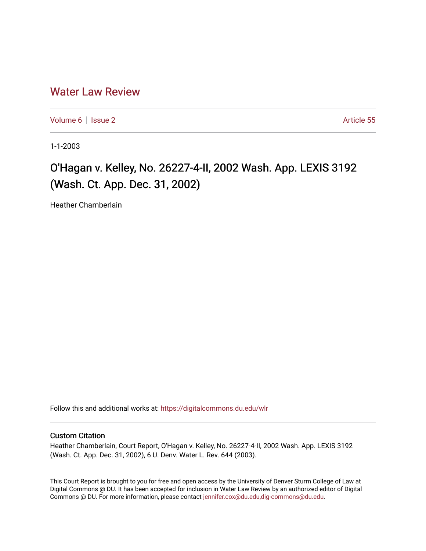## [Water Law Review](https://digitalcommons.du.edu/wlr)

[Volume 6](https://digitalcommons.du.edu/wlr/vol6) | [Issue 2](https://digitalcommons.du.edu/wlr/vol6/iss2) Article 55

1-1-2003

## O'Hagan v. Kelley, No. 26227-4-II, 2002 Wash. App. LEXIS 3192 (Wash. Ct. App. Dec. 31, 2002)

Heather Chamberlain

Follow this and additional works at: [https://digitalcommons.du.edu/wlr](https://digitalcommons.du.edu/wlr?utm_source=digitalcommons.du.edu%2Fwlr%2Fvol6%2Fiss2%2F55&utm_medium=PDF&utm_campaign=PDFCoverPages) 

## Custom Citation

Heather Chamberlain, Court Report, O'Hagan v. Kelley, No. 26227-4-II, 2002 Wash. App. LEXIS 3192 (Wash. Ct. App. Dec. 31, 2002), 6 U. Denv. Water L. Rev. 644 (2003).

This Court Report is brought to you for free and open access by the University of Denver Sturm College of Law at Digital Commons @ DU. It has been accepted for inclusion in Water Law Review by an authorized editor of Digital Commons @ DU. For more information, please contact [jennifer.cox@du.edu,dig-commons@du.edu.](mailto:jennifer.cox@du.edu,dig-commons@du.edu)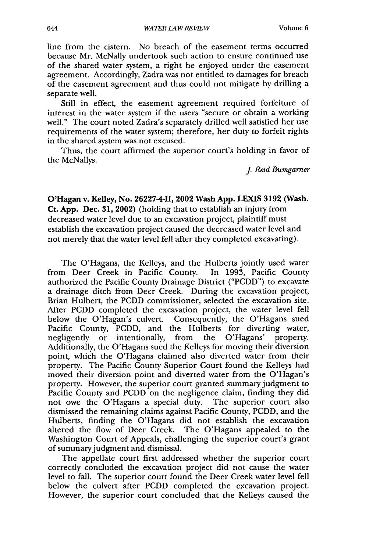line from the cistern. No breach of the easement terms occurred because Mr. McNally undertook such action to ensure continued use of the shared water system, a right he enjoyed under the easement agreement. Accordingly, Zadra was not entitled to damages for breach of the easement agreement and thus could not mitigate by drilling a separate well.

Still in effect, the easement agreement required forfeiture of interest in the water system if the users "secure or obtain a working well." The court noted Zadra's separately drilled well satisfied her use requirements of the water system; therefore, her duty to forfeit rights in the shared system was not excused.

Thus, the court affirmed the superior court's holding in favor of the McNallys.

*J Reid Bumgarner*

O'Hagan v. Kelley, No. 26227-4-II, 2002 Wash App. LEXIS 3192 (Wash. **Ct. App.** Dec. **31, 2002)** (holding that to establish an injury from decreased water level due to an excavation project, plaintiff must establish the excavation project caused the decreased water level and not merely that the water level fell after they completed excavating).

The O'Hagans, the Kelleys, and the Hulberts jointly used water from Deer Creek in Pacific County. In 1993, Pacific County authorized the Pacific County Drainage District ("PCDD") to excavate a drainage ditch from Deer Creek. During the excavation project, Brian Hulbert, the PCDD commissioner, selected the excavation site. After PCDD completed the excavation project, the water level fell below the O'Hagan's culvert. Consequently, the O'Hagans sued Pacific County, PCDD, and the Hulberts for diverting water, negligently or intentionally, from the O'Hagans' property. Additionally, the O'Hagans sued the Kelleys for moving their diversion point, which the O'Hagans claimed also diverted water from their property. The Pacific County Superior Court found the Kelleys had moved their diversion point and diverted water from the O'Hagan's property. However, the superior court granted summary judgment to Pacific County and PCDD on the negligence claim, finding they did not owe the O'Hagans a special duty. The superior court also dismissed the remaining claims against Pacific County, PCDD, and the Hulberts, finding the O'Hagans did not establish the excavation altered the flow of Deer Creek. The O'Hagans appealed to the Washington Court of Appeals, challenging the superior court's grant of summary judgment and dismissal.

The appellate court first addressed whether the superior court correctly concluded the excavation project did not cause the water level to fall. The superior court found the Deer Creek water level fell below the culvert after PCDD completed the excavation project. However, the superior court concluded that the Kelleys caused the